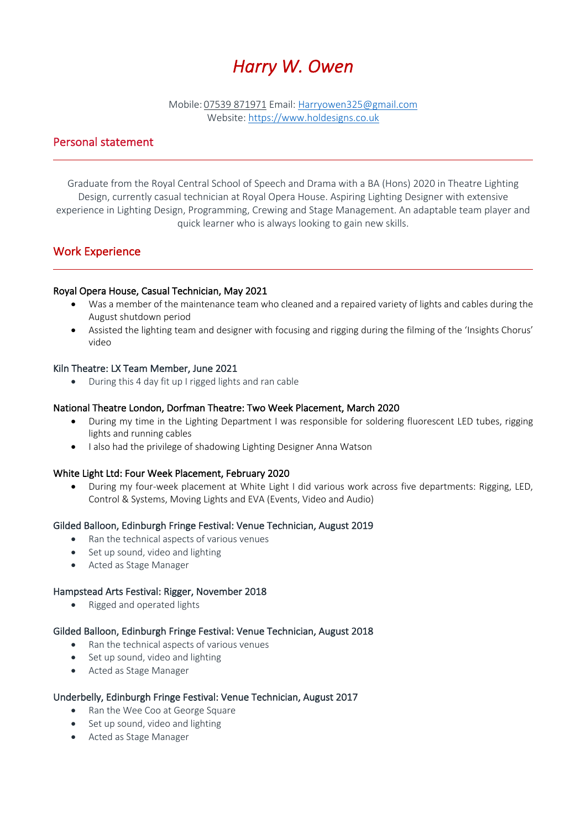# *Harry W. Owen*

Mobile: 07539 871971 Email: Harryowen325@gmail.com Website: https://www.holdesigns.co.uk

# Personal statement

Graduate from the Royal Central School of Speech and Drama with a BA (Hons) 2020 in Theatre Lighting Design, currently casual technician at Royal Opera House. Aspiring Lighting Designer with extensive experience in Lighting Design, Programming, Crewing and Stage Management. An adaptable team player and quick learner who is always looking to gain new skills.

# Work Experience

## Royal Opera House, Casual Technician, May 2021

- Was a member of the maintenance team who cleaned and a repaired variety of lights and cables during the August shutdown period
- Assisted the lighting team and designer with focusing and rigging during the filming of the 'Insights Chorus' video

#### Kiln Theatre: LX Team Member, June 2021

• During this 4 day fit up I rigged lights and ran cable

#### National Theatre London, Dorfman Theatre: Two Week Placement, March 2020

- During my time in the Lighting Department I was responsible for soldering fluorescent LED tubes, rigging lights and running cables
- I also had the privilege of shadowing Lighting Designer Anna Watson

#### White Light Ltd: Four Week Placement, February 2020

• During my four-week placement at White Light I did various work across five departments: Rigging, LED, Control & Systems, Moving Lights and EVA (Events, Video and Audio)

#### Gilded Balloon, Edinburgh Fringe Festival: Venue Technician, August 2019

- Ran the technical aspects of various venues
- Set up sound, video and lighting
- Acted as Stage Manager

#### Hampstead Arts Festival: Rigger, November 2018

• Rigged and operated lights

#### Gilded Balloon, Edinburgh Fringe Festival: Venue Technician, August 2018

- Ran the technical aspects of various venues
- Set up sound, video and lighting
- Acted as Stage Manager

#### Underbelly, Edinburgh Fringe Festival: Venue Technician, August 2017

- Ran the Wee Coo at George Square
- Set up sound, video and lighting
- Acted as Stage Manager